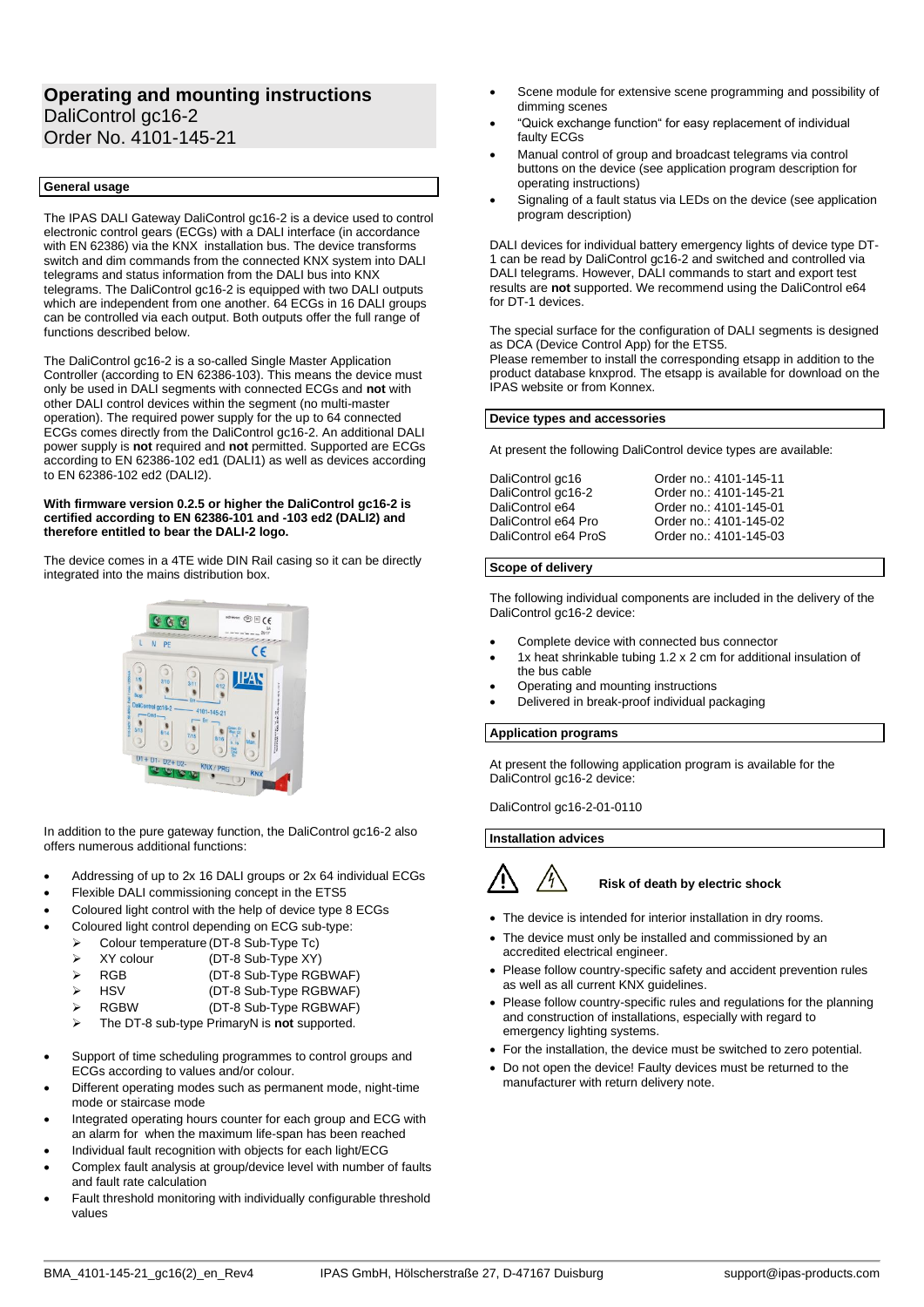# **Operating and mounting instructions** DaliControl gc16-2 Order No. 4101-145-21

# **General usage**

The IPAS DALI Gateway DaliControl gc16-2 is a device used to control electronic control gears (ECGs) with a DALI interface (in accordance with EN 62386) via the KNX installation bus. The device transforms switch and dim commands from the connected KNX system into DALI telegrams and status information from the DALI bus into KNX telegrams. The DaliControl gc16-2 is equipped with two DALI outputs which are independent from one another. 64 ECGs in 16 DALI groups can be controlled via each output. Both outputs offer the full range of functions described below.

The DaliControl gc16-2 is a so-called Single Master Application Controller (according to EN 62386-103). This means the device must only be used in DALI segments with connected ECGs and **not** with other DALI control devices within the segment (no multi-master operation). The required power supply for the up to 64 connected ECGs comes directly from the DaliControl gc16-2. An additional DALI power supply is **not** required and **not** permitted. Supported are ECGs according to EN 62386-102 ed1 (DALI1) as well as devices according to EN 62386-102 ed2 (DALI2).

#### **With firmware version 0.2.5 or higher the DaliControl gc16-2 is certified according to EN 62386-101 and -103 ed2 (DALI2) and therefore entitled to bear the DALI-2 logo.**

The device comes in a 4TE wide DIN Rail casing so it can be directly integrated into the mains distribution box.



In addition to the pure gateway function, the DaliControl gc16-2 also offers numerous additional functions:

- Addressing of up to 2x 16 DALI groups or 2x 64 individual ECGs
- Flexible DALI commissioning concept in the ETS5
- Coloured light control with the help of device type 8 ECGs
- Coloured light control depending on ECG sub-type:
	- ➢ Colour temperature (DT-8 Sub-Type Tc)
	- ➢ XY colour (DT-8 Sub-Type XY)
	- ➢ RGB (DT-8 Sub-Type RGBWAF)
	- ➢ HSV (DT-8 Sub-Type RGBWAF)
	- ➢ RGBW (DT-8 Sub-Type RGBWAF)
	- ➢ The DT-8 sub-type PrimaryN is **not** supported.
- Support of time scheduling programmes to control groups and ECGs according to values and/or colour.
- Different operating modes such as permanent mode, night-time mode or staircase mode
- Integrated operating hours counter for each group and ECG with an alarm for when the maximum life-span has been reached
- Individual fault recognition with objects for each light/ECG
- Complex fault analysis at group/device level with number of faults and fault rate calculation
- Fault threshold monitoring with individually configurable threshold values
- Scene module for extensive scene programming and possibility of dimming scenes
- "Quick exchange function" for easy replacement of individual faulty ECGs
- Manual control of group and broadcast telegrams via control buttons on the device (see application program description for operating instructions)
- Signaling of a fault status via LEDs on the device (see application program description)

DALI devices for individual battery emergency lights of device type DT-1 can be read by DaliControl gc16-2 and switched and controlled via DALI telegrams. However, DALI commands to start and export test results are **not** supported. We recommend using the DaliControl e64 for DT-1 devices.

The special surface for the configuration of DALI segments is designed as DCA (Device Control App) for the ETS5. Please remember to install the corresponding etsapp in addition to the product database knxprod. The etsapp is available for download on the IPAS website or from Konnex.

## **Device types and accessories**

At present the following DaliControl device types are available:

| DaliControl gc16     | Order no.: 4101-145-11 |
|----------------------|------------------------|
| DaliControl gc16-2   | Order no.: 4101-145-21 |
| DaliControl e64      | Order no.: 4101-145-01 |
| DaliControl e64 Pro  | Order no.: 4101-145-02 |
| DaliControl e64 ProS | Order no.: 4101-145-03 |

#### **Scope of delivery**

The following individual components are included in the delivery of the DaliControl gc16-2 device:

- Complete device with connected bus connector
- 1x heat shrinkable tubing 1.2 x 2 cm for additional insulation of the bus cable
- Operating and mounting instructions
- Delivered in break-proof individual packaging

# **Application programs**

At present the following application program is available for the DaliControl gc16-2 device:

DaliControl gc16-2-01-0110

**Installation advices**



**Risk of death by electric shock**

- The device is intended for interior installation in dry rooms.
- The device must only be installed and commissioned by an accredited electrical engineer.
- Please follow country-specific safety and accident prevention rules as well as all current KNX guidelines.
- Please follow country-specific rules and regulations for the planning and construction of installations, especially with regard to emergency lighting systems.
- For the installation, the device must be switched to zero potential.
- Do not open the device! Faulty devices must be returned to the manufacturer with return delivery note.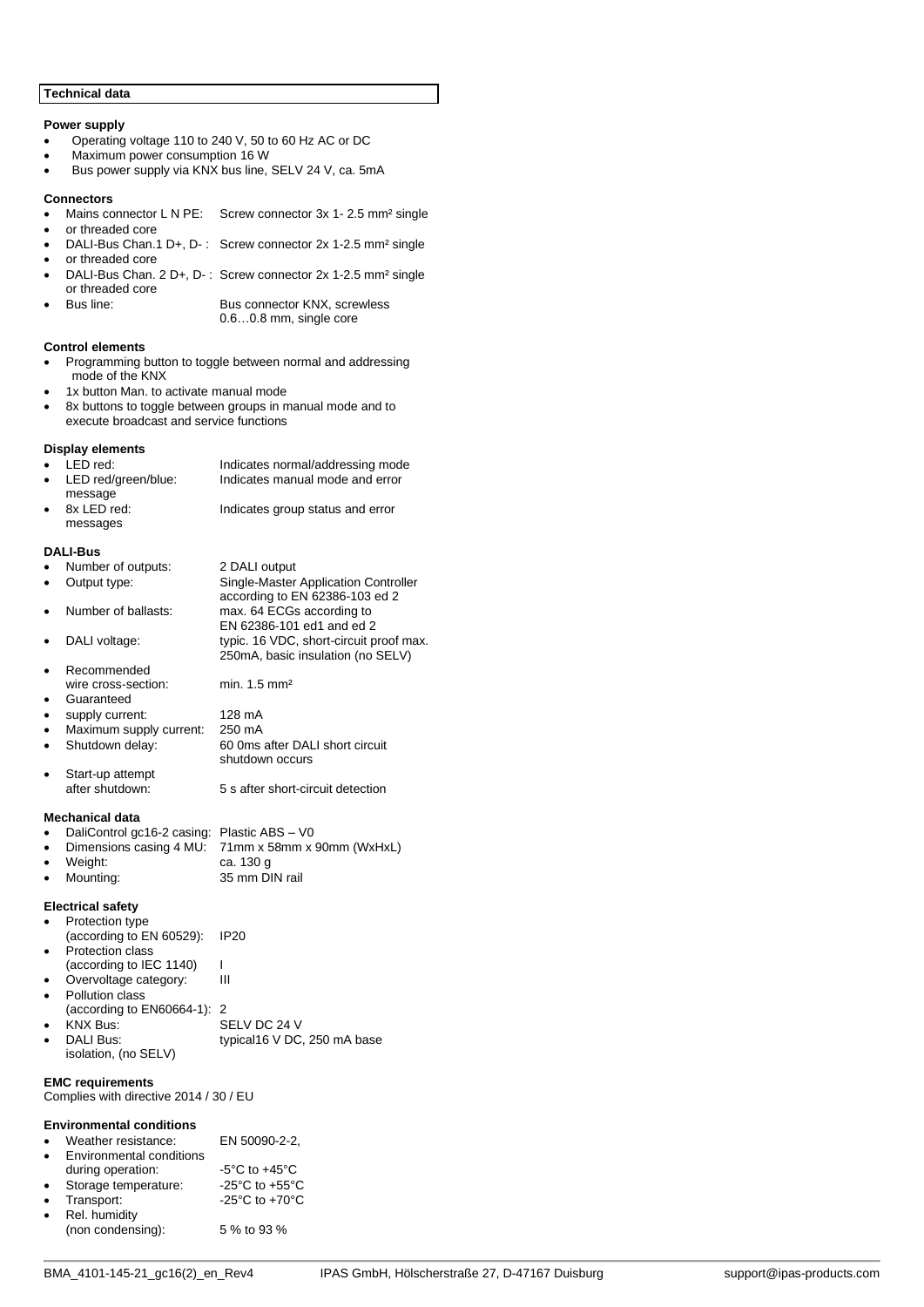## **Technical data**

## **Power supply**

- Operating voltage 110 to 240 V, 50 to 60 Hz AC or DC
- Maximum power consumption 16 W<br>• Bus nower supply via KNX bus line
- Bus power supply via KNX bus line, SELV 24 V, ca. 5mA

## **Connectors**

- Mains connector L N PE: Screw connector 3x 1- 2.5 mm<sup>2</sup> single
- or threaded core • DALI-Bus Chan.1 D+, D- : Screw connector 2x 1-2.5 mm² single
- or threaded core
- DALI-Bus Chan. 2 D+, D- : Screw connector 2x 1-2.5 mm² single or threaded core

Bus connector KNX, screwless 0.6…0.8 mm, single core

#### **Control elements**

• Programming button to toggle between normal and addressing mode of the KNX

1x button Man. to activate manual mode

• 8x buttons to toggle between groups in manual mode and to execute broadcast and service functions

## **Display elements**

|           | $\bullet$ LED red:    | Indicates normal/addressing mode |
|-----------|-----------------------|----------------------------------|
|           | • LED red/green/blue: | Indicates manual mode and error  |
|           | message               |                                  |
| $\bullet$ | 8x LED red:           | Indicates group status and error |
|           | messages              |                                  |
|           |                       |                                  |

## **DALI-Bus**

|           | Number of outputs:         | 2 DALI output                           |
|-----------|----------------------------|-----------------------------------------|
|           | Output type:               | Single-Master Application Controller    |
|           |                            | according to EN 62386-103 ed 2          |
|           | Number of ballasts:        | max. 64 ECGs according to               |
|           |                            | EN 62386-101 ed1 and ed 2               |
|           | DALI voltage:              | typic. 16 VDC, short-circuit proof max. |
|           |                            | 250mA, basic insulation (no SELV)       |
|           | Recommended                |                                         |
|           | wire cross-section:        | min. $1.5 \text{ mm}^2$                 |
|           | Guaranteed                 |                                         |
| $\bullet$ | supply current:            | 128 mA                                  |
| $\bullet$ | Maximum supply current:    | 250 mA                                  |
| ٠         | Shutdown delay:            | 60 0ms after DALI short circuit         |
|           |                            | shutdown occurs                         |
|           | Start-up attempt           |                                         |
|           | after shutdown:            | 5 s after short-circuit detection       |
|           |                            |                                         |
|           | <b>Mechanical data</b>     |                                         |
|           | DaliControl gc16-2 casing: | Plastic ABS - V0                        |
| ٠         | Dimensions casing 4 MU:    | 71mm x 58mm x 90mm (WxHxL)              |
|           | Weight:                    | ca. 130 g                               |
| $\bullet$ | Mounting:                  | 35 mm DIN rail                          |
|           |                            |                                         |

# **Electrical safety**

| Protection type             |                             |
|-----------------------------|-----------------------------|
| (according to EN 60529):    | IP <sub>20</sub>            |
| Protection class            |                             |
| (according to IEC 1140)     |                             |
| Overvoltage category:       | Ш                           |
| Pollution class             |                             |
| (according to EN60664-1): 2 |                             |
| <b>KNX Bus:</b>             | SELV DC 24 V                |
| DALI Bus:                   | typical16 V DC, 250 mA base |
| isolation, (no SELV)        |                             |

## **EMC requirements**

Complies with directive 2014 / 30 / EU

#### **Environmental conditions**

| $\bullet$ | Weather resistance:      | EN 50090-2-2. |
|-----------|--------------------------|---------------|
| $\bullet$ | Environmental conditions |               |

|           | during operation:    | $-5^{\circ}$ C to $+45^{\circ}$ C    |
|-----------|----------------------|--------------------------------------|
| $\bullet$ | Storage temperature: | -25 $^{\circ}$ C to +55 $^{\circ}$ C |
| $\bullet$ | Transport:           | -25 $^{\circ}$ C to +70 $^{\circ}$ C |
| $\bullet$ | Rel. humidity        |                                      |
|           | (non condensing):    | 5 % to 93 %                          |